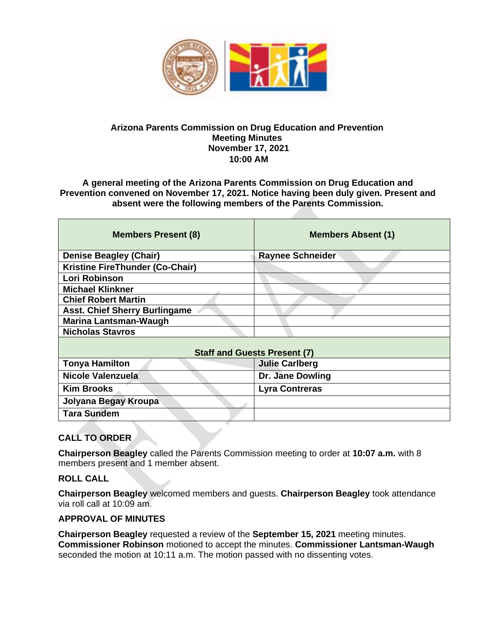

#### **Arizona Parents Commission on Drug Education and Prevention Meeting Minutes November 17, 2021 10:00 AM**

**A general meeting of the Arizona Parents Commission on Drug Education and Prevention convened on November 17, 2021. Notice having been duly given. Present and absent were the following members of the Parents Commission.** 

| <b>Members Absent (1)</b>           |
|-------------------------------------|
| <b>Raynee Schneider</b>             |
|                                     |
|                                     |
|                                     |
|                                     |
|                                     |
|                                     |
|                                     |
| <b>Staff and Guests Present (7)</b> |
| <b>Julie Carlberg</b>               |
| Dr. Jane Dowling                    |
| <b>Lyra Contreras</b>               |
|                                     |
|                                     |
|                                     |

# **CALL TO ORDER**

**Chairperson Beagley** called the Parents Commission meeting to order at **10:07 a.m.** with 8 members present and 1 member absent.

#### **ROLL CALL**

**Chairperson Beagley** welcomed members and guests. **Chairperson Beagley** took attendance via roll call at 10:09 am.

#### **APPROVAL OF MINUTES**

**Chairperson Beagley** requested a review of the **September 15, 2021** meeting minutes. **Commissioner Robinson** motioned to accept the minutes. **Commissioner Lantsman-Waugh**  seconded the motion at 10:11 a.m. The motion passed with no dissenting votes.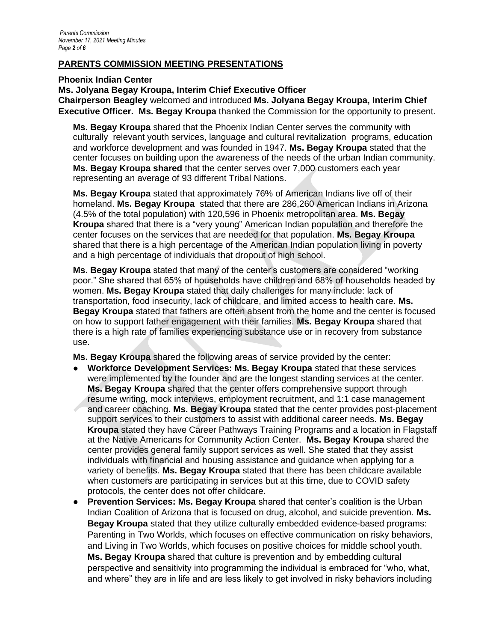#### **PARENTS COMMISSION MEETING PRESENTATIONS**

**Phoenix Indian Center**

**Ms. Jolyana Begay Kroupa, Interim Chief Executive Officer**

**Chairperson Beagley** welcomed and introduced **Ms. Jolyana Begay Kroupa, Interim Chief Executive Officer. Ms. Begay Kroupa** thanked the Commission for the opportunity to present.

**Ms. Begay Kroupa** shared that the Phoenix Indian Center serves the community with culturally relevant youth services, language and cultural revitalization programs, education and workforce development and was founded in 1947. **Ms. Begay Kroupa** stated that the center focuses on building upon the awareness of the needs of the urban Indian community. **Ms. Begay Kroupa shared** that the center serves over 7,000 customers each year representing an average of 93 different Tribal Nations.

**Ms. Begay Kroupa** stated that approximately 76% of American Indians live off of their homeland. **Ms. Begay Kroupa** stated that there are 286,260 American Indians in Arizona (4.5% of the total population) with 120,596 in Phoenix metropolitan area. **Ms. Begay Kroupa** shared that there is a "very young" American Indian population and therefore the center focuses on the services that are needed for that population. **Ms. Begay Kroupa**  shared that there is a high percentage of the American Indian population living in poverty and a high percentage of individuals that dropout of high school.

**Ms. Begay Kroupa** stated that many of the center's customers are considered "working poor." She shared that 65% of households have children and 68% of households headed by women. **Ms. Begay Kroupa** stated that daily challenges for many include: lack of transportation, food insecurity, lack of childcare, and limited access to health care. **Ms. Begay Kroupa** stated that fathers are often absent from the home and the center is focused on how to support father engagement with their families. **Ms. Begay Kroupa** shared that there is a high rate of families experiencing substance use or in recovery from substance use.

**Ms. Begay Kroupa** shared the following areas of service provided by the center:

- **Workforce Development Services: Ms. Begay Kroupa** stated that these services were implemented by the founder and are the longest standing services at the center. **Ms. Begay Kroupa** shared that the center offers comprehensive support through resume writing, mock interviews, employment recruitment, and 1:1 case management and career coaching. **Ms. Begay Kroupa** stated that the center provides post-placement support services to their customers to assist with additional career needs. **Ms. Begay Kroupa** stated they have Career Pathways Training Programs and a location in Flagstaff at the Native Americans for Community Action Center. **Ms. Begay Kroupa** shared the center provides general family support services as well. She stated that they assist individuals with financial and housing assistance and guidance when applying for a variety of benefits. **Ms. Begay Kroupa** stated that there has been childcare available when customers are participating in services but at this time, due to COVID safety protocols, the center does not offer childcare.
- **Prevention Services: Ms. Begay Kroupa** shared that center's coalition is the Urban Indian Coalition of Arizona that is focused on drug, alcohol, and suicide prevention. **Ms. Begay Kroupa** stated that they utilize culturally embedded evidence-based programs: Parenting in Two Worlds, which focuses on effective communication on risky behaviors, and Living in Two Worlds, which focuses on positive choices for middle school youth. **Ms. Begay Kroupa** shared that culture is prevention and by embedding cultural perspective and sensitivity into programming the individual is embraced for "who, what, and where" they are in life and are less likely to get involved in risky behaviors including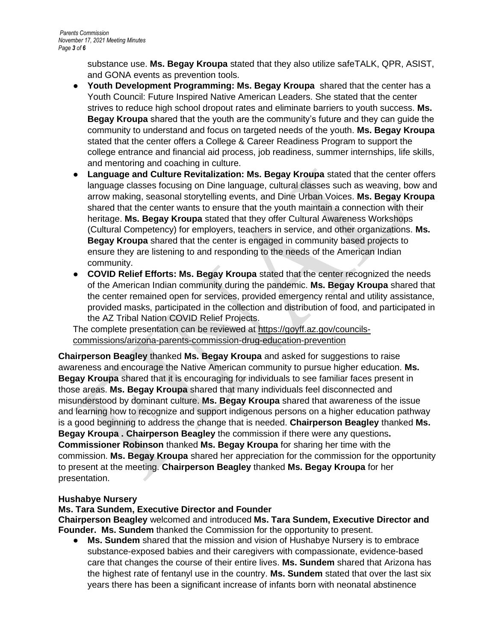substance use. **Ms. Begay Kroupa** stated that they also utilize safeTALK, QPR, ASIST, and GONA events as prevention tools.

- **Youth Development Programming: Ms. Begay Kroupa** shared that the center has a Youth Council: Future Inspired Native American Leaders. She stated that the center strives to reduce high school dropout rates and eliminate barriers to youth success. **Ms. Begay Kroupa** shared that the youth are the community's future and they can guide the community to understand and focus on targeted needs of the youth. **Ms. Begay Kroupa**  stated that the center offers a College & Career Readiness Program to support the college entrance and financial aid process, job readiness, summer internships, life skills, and mentoring and coaching in culture.
- **Language and Culture Revitalization: Ms. Begay Kroupa** stated that the center offers language classes focusing on Dine language, cultural classes such as weaving, bow and arrow making, seasonal storytelling events, and Dine Urban Voices. **Ms. Begay Kroupa**  shared that the center wants to ensure that the youth maintain a connection with their heritage. **Ms. Begay Kroupa** stated that they offer Cultural Awareness Workshops (Cultural Competency) for employers, teachers in service, and other organizations. **Ms. Begay Kroupa** shared that the center is engaged in community based projects to ensure they are listening to and responding to the needs of the American Indian community.
- **COVID Relief Efforts: Ms. Begay Kroupa** stated that the center recognized the needs of the American Indian community during the pandemic. **Ms. Begay Kroupa** shared that the center remained open for services, provided emergency rental and utility assistance, provided masks, participated in the collection and distribution of food, and participated in the AZ Tribal Nation COVID Relief Projects.

The complete presentation can be reviewed at [https://goyff.az.gov/councils](https://goyff.az.gov/councils-commissions/arizona-parents-commission-drug-education-prevention)[commissions/arizona-parents-commission-drug-education-prevention](https://goyff.az.gov/councils-commissions/arizona-parents-commission-drug-education-prevention)

**Chairperson Beagley** thanked **Ms. Begay Kroupa** and asked for suggestions to raise awareness and encourage the Native American community to pursue higher education. **Ms. Begay Kroupa** shared that it is encouraging for individuals to see familiar faces present in those areas. **Ms. Begay Kroupa** shared that many individuals feel disconnected and misunderstood by dominant culture. **Ms. Begay Kroupa** shared that awareness of the issue and learning how to recognize and support indigenous persons on a higher education pathway is a good beginning to address the change that is needed. **Chairperson Beagley** thanked **Ms. Begay Kroupa . Chairperson Beagley** the commission if there were any questions**. Commissioner Robinson** thanked **Ms. Begay Kroupa** for sharing her time with the commission. **Ms. Begay Kroupa** shared her appreciation for the commission for the opportunity to present at the meeting. **Chairperson Beagley** thanked **Ms. Begay Kroupa** for her presentation.

## **Hushabye Nursery**

#### **Ms. Tara Sundem, Executive Director and Founder**

**Chairperson Beagley** welcomed and introduced **Ms. Tara Sundem, Executive Director and Founder. Ms. Sundem** thanked the Commission for the opportunity to present.

● **Ms. Sundem** shared that the mission and vision of Hushabye Nursery is to embrace substance-exposed babies and their caregivers with compassionate, evidence-based care that changes the course of their entire lives. **Ms. Sundem** shared that Arizona has the highest rate of fentanyl use in the country. **Ms. Sundem** stated that over the last six years there has been a significant increase of infants born with neonatal abstinence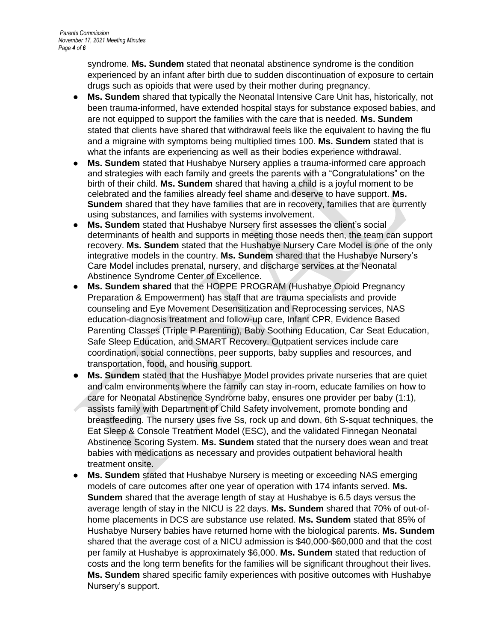syndrome. **Ms. Sundem** stated that neonatal abstinence syndrome is the condition experienced by an infant after birth due to sudden discontinuation of exposure to certain drugs such as opioids that were used by their mother during pregnancy.

- **Ms. Sundem** shared that typically the Neonatal Intensive Care Unit has, historically, not been trauma-informed, have extended hospital stays for substance exposed babies, and are not equipped to support the families with the care that is needed. **Ms. Sundem**  stated that clients have shared that withdrawal feels like the equivalent to having the flu and a migraine with symptoms being multiplied times 100. **Ms. Sundem** stated that is what the infants are experiencing as well as their bodies experience withdrawal.
- **Ms. Sundem** stated that Hushabye Nursery applies a trauma-informed care approach and strategies with each family and greets the parents with a "Congratulations" on the birth of their child. **Ms. Sundem** shared that having a child is a joyful moment to be celebrated and the families already feel shame and deserve to have support. **Ms. Sundem** shared that they have families that are in recovery, families that are currently using substances, and families with systems involvement.
- Ms. Sundem stated that Hushabye Nursery first assesses the client's social determinants of health and supports in meeting those needs then, the team can support recovery. **Ms. Sundem** stated that the Hushabye Nursery Care Model is one of the only integrative models in the country. **Ms. Sundem** shared that the Hushabye Nursery's Care Model includes prenatal, nursery, and discharge services at the Neonatal Abstinence Syndrome Center of Excellence.
- **Ms. Sundem shared** that the HOPPE PROGRAM (Hushabye Opioid Pregnancy Preparation & Empowerment) has staff that are trauma specialists and provide counseling and Eye Movement Desensitization and Reprocessing services, NAS education-diagnosis treatment and follow-up care, Infant CPR, Evidence Based Parenting Classes (Triple P Parenting), Baby Soothing Education, Car Seat Education, Safe Sleep Education, and SMART Recovery. Outpatient services include care coordination, social connections, peer supports, baby supplies and resources, and transportation, food, and housing support.
- **Ms. Sundem** stated that the Hushabye Model provides private nurseries that are quiet and calm environments where the family can stay in-room, educate families on how to care for Neonatal Abstinence Syndrome baby, ensures one provider per baby (1:1), assists family with Department of Child Safety involvement, promote bonding and breastfeeding. The nursery uses five Ss, rock up and down, 6th S-squat techniques, the Eat Sleep & Console Treatment Model (ESC), and the validated Finnegan Neonatal Abstinence Scoring System. **Ms. Sundem** stated that the nursery does wean and treat babies with medications as necessary and provides outpatient behavioral health treatment onsite.
- **Ms. Sundem** stated that Hushabye Nursery is meeting or exceeding NAS emerging models of care outcomes after one year of operation with 174 infants served. **Ms. Sundem** shared that the average length of stay at Hushabye is 6.5 days versus the average length of stay in the NICU is 22 days. **Ms. Sundem** shared that 70% of out-ofhome placements in DCS are substance use related. **Ms. Sundem** stated that 85% of Hushabye Nursery babies have returned home with the biological parents. **Ms. Sundem**  shared that the average cost of a NICU admission is \$40,000-\$60,000 and that the cost per family at Hushabye is approximately \$6,000. **Ms. Sundem** stated that reduction of costs and the long term benefits for the families will be significant throughout their lives. **Ms. Sundem** shared specific family experiences with positive outcomes with Hushabye Nursery's support.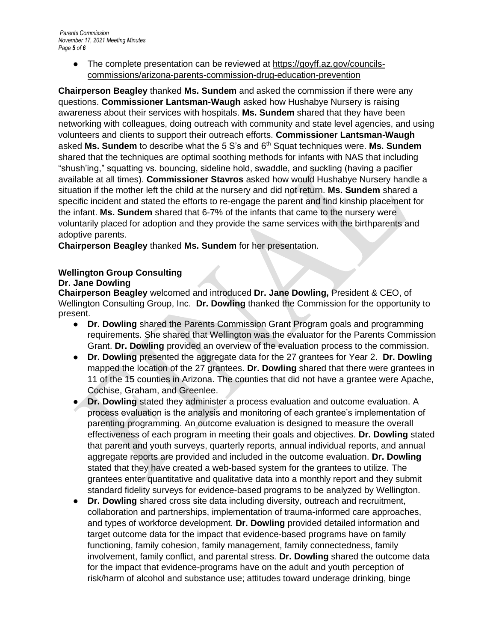● The complete presentation can be reviewed at [https://goyff.az.gov/councils](https://goyff.az.gov/councils-commissions/arizona-parents-commission-drug-education-prevention)[commissions/arizona-parents-commission-drug-education-prevention](https://goyff.az.gov/councils-commissions/arizona-parents-commission-drug-education-prevention)

**Chairperson Beagley** thanked **Ms. Sundem** and asked the commission if there were any questions. **Commissioner Lantsman-Waugh** asked how Hushabye Nursery is raising awareness about their services with hospitals. **Ms. Sundem** shared that they have been networking with colleagues, doing outreach with community and state level agencies, and using volunteers and clients to support their outreach efforts. **Commissioner Lantsman-Waugh**  asked **Ms. Sundem** to describe what the 5 S's and 6th Squat techniques were. **Ms. Sundem**  shared that the techniques are optimal soothing methods for infants with NAS that including "shush'ing," squatting vs. bouncing, sideline hold, swaddle, and suckling (having a pacifier available at all times). **Commissioner Stavros** asked how would Hushabye Nursery handle a situation if the mother left the child at the nursery and did not return. **Ms. Sundem** shared a specific incident and stated the efforts to re-engage the parent and find kinship placement for the infant. **Ms. Sundem** shared that 6-7% of the infants that came to the nursery were voluntarily placed for adoption and they provide the same services with the birthparents and adoptive parents.

**Chairperson Beagley** thanked **Ms. Sundem** for her presentation.

#### **Wellington Group Consulting Dr. Jane Dowling**

**Chairperson Beagley** welcomed and introduced **Dr. Jane Dowling,** President & CEO, of Wellington Consulting Group, Inc. **Dr. Dowling** thanked the Commission for the opportunity to present.

- **Dr. Dowling** shared the Parents Commission Grant Program goals and programming requirements. She shared that Wellington was the evaluator for the Parents Commission Grant. **Dr. Dowling** provided an overview of the evaluation process to the commission.
- **Dr. Dowling** presented the aggregate data for the 27 grantees for Year 2. **Dr. Dowling**  mapped the location of the 27 grantees. **Dr. Dowling** shared that there were grantees in 11 of the 15 counties in Arizona. The counties that did not have a grantee were Apache, Cochise, Graham, and Greenlee.
- **Dr. Dowling** stated they administer a process evaluation and outcome evaluation. A process evaluation is the analysis and monitoring of each grantee's implementation of parenting programming. An outcome evaluation is designed to measure the overall effectiveness of each program in meeting their goals and objectives. **Dr. Dowling** stated that parent and youth surveys, quarterly reports, annual individual reports, and annual aggregate reports are provided and included in the outcome evaluation. **Dr. Dowling** stated that they have created a web-based system for the grantees to utilize. The grantees enter quantitative and qualitative data into a monthly report and they submit standard fidelity surveys for evidence-based programs to be analyzed by Wellington.
- **Dr. Dowling** shared cross site data including diversity, outreach and recruitment, collaboration and partnerships, implementation of trauma-informed care approaches, and types of workforce development. **Dr. Dowling** provided detailed information and target outcome data for the impact that evidence-based programs have on family functioning, family cohesion, family management, family connectedness, family involvement, family conflict, and parental stress. **Dr. Dowling** shared the outcome data for the impact that evidence-programs have on the adult and youth perception of risk/harm of alcohol and substance use; attitudes toward underage drinking, binge